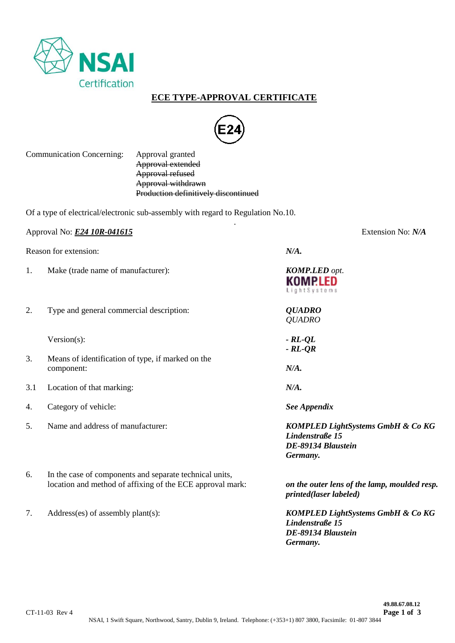

## **ECE TYPE-APPROVAL CERTIFICATE**



.

### Communication Concerning: Approval granted

Approval extended Approval refused Approval withdrawn Production definitively discontinued

Of a type of electrical/electronic sub-assembly with regard to Regulation No.10.

|                       | Approval No: <b>E24 10R-041615</b>                                                                                   | Extension No: N/A                                                                      |  |
|-----------------------|----------------------------------------------------------------------------------------------------------------------|----------------------------------------------------------------------------------------|--|
| Reason for extension: |                                                                                                                      | N/A.                                                                                   |  |
| 1.                    | Make (trade name of manufacturer):                                                                                   | <b>KOMP.LED</b> opt.<br>KOMPLED<br>LightSystems                                        |  |
| 2.                    | Type and general commercial description:                                                                             | <b>QUADRO</b><br><b>QUADRO</b>                                                         |  |
|                       | $Version(s)$ :                                                                                                       | $- RL-QL$<br>$-RL-QR$                                                                  |  |
| 3.                    | Means of identification of type, if marked on the<br>component:                                                      | N/A.                                                                                   |  |
| 3.1                   | Location of that marking:                                                                                            | N/A.                                                                                   |  |
| 4.                    | Category of vehicle:                                                                                                 | <b>See Appendix</b>                                                                    |  |
| 5.                    | Name and address of manufacturer:                                                                                    | KOMPLED LightSystems GmbH & Co KG<br>Lindenstraße 15<br>DE-89134 Blaustein<br>Germany. |  |
| 6.                    | In the case of components and separate technical units,<br>location and method of affixing of the ECE approval mark: | on the outer lens of the lamp, moulded resp.<br>printed(laser labeled)                 |  |
| 7.                    | $Address(es)$ of assembly plant $(s)$ :                                                                              | <b>KOMPLED LightSystems GmbH &amp; Co KG</b><br>Lindenstraße 15<br>DE-89134 Blaustein  |  |

*Germany.*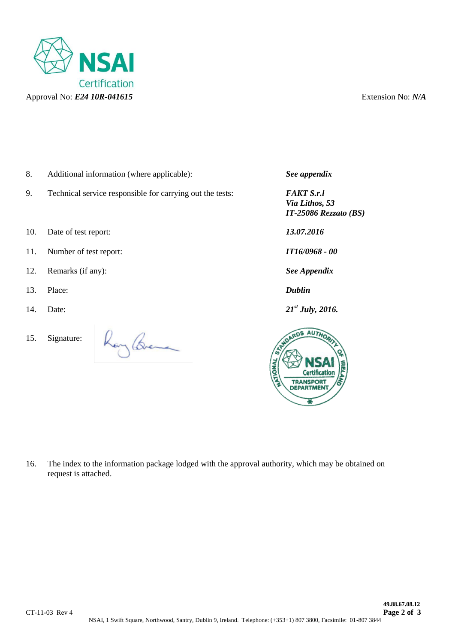

- 8. Additional information (where applicable): *See appendix*
- 9. Technical service responsible for carrying out the tests: *FAKT S.r.l*
- 10. Date of test report: *13.07.2016*
- 11. Number of test report: *IT16/0968 - 00*
- 12. Remarks (if any): *See Appendix*
- 13. Place: *Dublin*
- 14. Date: *21*
- 15. Signature:



*Via Lithos, 53 IT-25086 Rezzato (BS)*

*st July, 2016.*



16. The index to the information package lodged with the approval authority, which may be obtained on request is attached.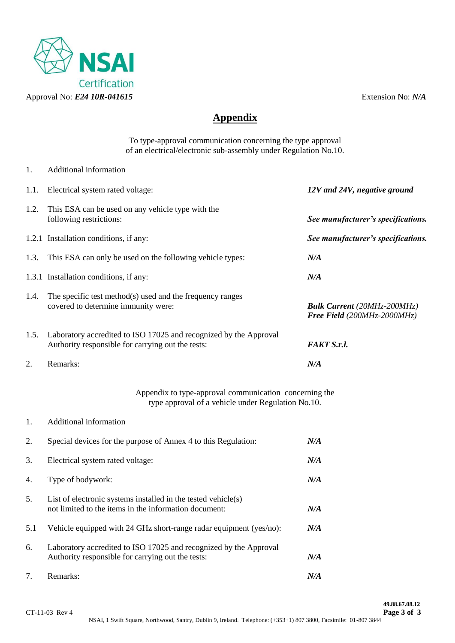

## **Appendix**

To type-approval communication concerning the type approval of an electrical/electronic sub-assembly under Regulation No.10.

- 1. Additional information 1.1. Electrical system rated voltage: *12V and 24V, negative ground* 1.2. This ESA can be used on any vehicle type with the following restrictions: *See manufacturer's specifications.* 1.2.1 Installation conditions, if any: *See manufacturer's specifications.* 1.3. This ESA can only be used on the following vehicle types: *N/A* 1.3.1 Installation conditions, if any: *N/A* 1.4. The specific test method(s) used and the frequency ranges covered to determine immunity were: *Bulk Current (20MHz-200MHz) Free Field (200MHz-2000MHz)* 1.5. Laboratory accredited to ISO 17025 and recognized by the Approval Authority responsible for carrying out the tests: **FAKT S.r.l.** 2. Remarks: *N/A* Appendix to type-approval communication concerning the type approval of a vehicle under Regulation No.10. 1. Additional information 2. Special devices for the purpose of Annex 4 to this Regulation: *N/A* 3. Electrical system rated voltage: *N/A* 4. Type of bodywork: *N/A* 5. List of electronic systems installed in the tested vehicle(s) not limited to the items in the information document: *N/A* 5.1 Vehicle equipped with 24 GHz short-range radar equipment (yes/no): *N/A*
- 6. Laboratory accredited to ISO 17025 and recognized by the Approval Authority responsible for carrying out the tests: *N/A* 7. Remarks: *N/A*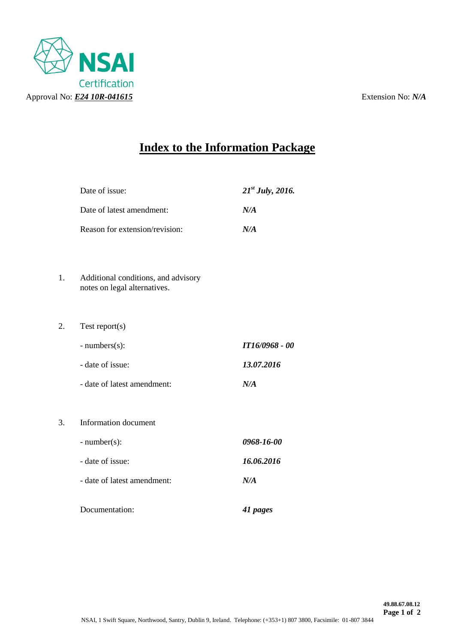

# **Index to the Information Package**

|    | Date of issue:                                                      | $21^{st}$ July, 2016. |
|----|---------------------------------------------------------------------|-----------------------|
|    | Date of latest amendment:                                           | N/A                   |
|    | Reason for extension/revision:                                      | N/A                   |
|    |                                                                     |                       |
| 1. | Additional conditions, and advisory<br>notes on legal alternatives. |                       |
| 2. | Test report $(s)$                                                   |                       |
|    | $- numbers(s)$ :                                                    | IT16/0968 - 00        |
|    | - date of issue:                                                    | 13.07.2016            |
|    | - date of latest amendment:                                         | N/A                   |
|    |                                                                     |                       |
| 3. | Information document                                                |                       |
|    | $-$ number(s):                                                      | 0968-16-00            |
|    | - date of issue:                                                    | 16.06.2016            |
|    | - date of latest amendment:                                         | N/A                   |
|    |                                                                     |                       |

Documentation: *41 pages*